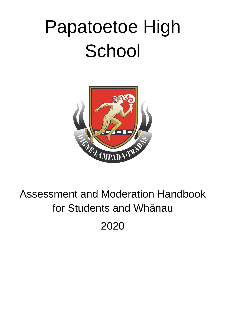# Papatoetoe High **School**



# Assessment and Moderation Handbook for Students and Whānau

2020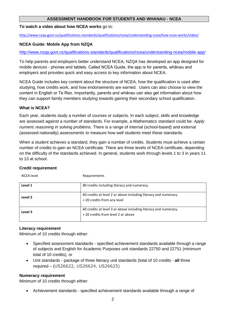#### **ASSESSMENT HANDBOOK FOR STUDENTS AND WHANAU - NCEA**

#### **To watch a video about how NCEA works** go to:

<http://www.nzqa.govt.nz/qualifications-standards/qualifications/ncea/understanding-ncea/how-ncea-works/video/>

#### **NCEA Guide: Mobile App from NZQA**

<http://www.nzqa.govt.nz/qualifications-standards/qualifications/ncea/understanding-ncea/mobile-app/>

To help parents and employers better understand NCEA, NZQA has developed an app designed for mobile devices - phones and tablets. Called NCEA Guide, the app is for parents, whānau and employers and provides quick and easy access to key information about NCEA.

NCEA Guide includes key content about the structure of NCEA, how the qualification is used after studying, how credits work, and how endorsements are earned. Users can also choose to view the content in English or Te Reo. Importantly, parents and whānau can also get information about how they can support family members studying towards gaining their secondary school qualification.

#### **What is NCEA?**

Each year, students study a number of courses or subjects. In each subject, skills and knowledge are assessed against a number of standards. For example, a Mathematics [standard](http://www.nzqa.govt.nz/qualifications-standards/qualifications/ncea/understanding-ncea/how-ncea-works/standards/) could be: *Apply numeric reasoning in solving problems.* There is a range of internal (school-based) and external (assessed nationally) [assessments](http://www.nzqa.govt.nz/qualifications-standards/qualifications/ncea/understanding-ncea/how-ncea-works/standards/) to measure how well students meet these standards.

When a student achieves a standard, they gain a number of credits. Students must achieve a certain number of credits to gain an NCEA certificate. There are three [levels of NCEA certificate,](http://www.nzqa.govt.nz/qualifications-standards/qualifications/ncea/understanding-ncea/how-ncea-works/ncea-levels-and-certificates/) depending on the difficulty of the standards achieved. In general, students work through levels 1 to 3 in years 11 to 13 at school.

#### **Credit requirement**

| <b>NCEA</b> level | Requirements                                                                                         |
|-------------------|------------------------------------------------------------------------------------------------------|
| Level 1           | 80 credits including literacy and numeracy.                                                          |
| Level 2           | 60 credits at level 2 or above including literacy and numeracy.<br>+20 credits from any level        |
| Level 3           | 60 credits at level 3 or above including literacy and numeracy.<br>+20 credits from level 2 or above |

#### **Literacy requirement**

Minimum of 10 credits through either:

- Specified assessment standards specified achievement standards available through a range of subjects and English for Academic Purposes unit standards 22750 and 22751 (minimum total of 10 credits), or
- Unit standards package of three [literacy unit standards](http://www.nzqa.govt.nz/qualifications-standards/qualifications/ncea/subjects/literacy-and-numeracy/literacy-and-numeracy-unit-standards/) (total of 10 credits **all** three required – (US26622, US26624, US26625)

#### **Numeracy requirement**

Minimum of 10 credits through either:

• Achievement standards - [specified achievement standards](http://www.nzqa.govt.nz/qualifications-standards/qualifications/ncea/subjects/literacy-and-numeracy/level-1-requirements/lit-num-subjects/) available through a range of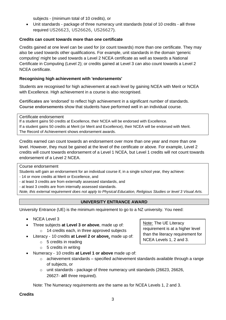subjects - (minimum total of 10 credits), or

• Unit standards - package of three [numeracy unit standards](http://www.nzqa.govt.nz/qualifications-standards/qualifications/ncea/subjects/literacy-and-numeracy/literacy-and-numeracy-unit-standards/) (total of 10 credits - **all** three required US26623, US26626, US26627).

#### **Credits can count towards more than one certificate**

Credits gained at one level can be used for (or count towards) more than one certificate. They may also be used towards other qualifications. For example, unit standards in the domain 'generic computing' might be used towards a Level 2 NCEA certificate as well as towards a National Certificate in Computing (Level 2); or credits gained at Level 3 can also count towards a Level 2 NCEA certificate.

#### **Recognising high achievement with 'endorsements'**

Students are recognised for high achievement at each level by gaining NCEA with Merit or NCEA with Excellence. High achievement in a course is also recognised.

**Certificates** are 'endorsed' to reflect high achievement in a significant number of standards. **Course endorsements** show that students have performed well in an individual course.

Certificate endorsement

If a student gains 50 credits at Excellence, their NCEA will be endorsed with Excellence. If a student gains 50 credits at Merit (or Merit and Excellence), their NCEA will be endorsed with Merit. [The Record of Achievement](http://www.nzqa.govt.nz/qualifications-standards/results-2/record-of-achievement/) shows endorsement awards.

Credits earned can count towards an endorsement over more than one year and more than one level. However, they must be gained at the level of the certificate or above. For example, Level 2 credits will count towards endorsement of a Level 1 NCEA, but Level 1 credits will not count towards endorsement of a Level 2 NCEA.

Course endorsement

Students will gain an endorsement for an individual course if, in a single school year, they achieve:

- 14 or more credits at Merit or Excellence, and

- at least 3 credits are from externally assessed standards, and

- at least 3 credits are from internally assessed standards.

*Note, this external requirement does not apply to Physical Education, Religious Studies or level 3 Visual Arts.*

#### **UNIVERSITY ENTRANCE AWARD**

University Entrance (UE) is the minimum requirement to go to a NZ university. You need:

- NCEA Level 3
- Three subjects **at Level 3 or above**, made up of: o 14 credits each, in three approved subjects
- Literacy 10 credits **at [Level 2 or above](http://www.nzqa.govt.nz/assets/qualifications-and-standards/Awards/University-Entrance/UE-literacy-stds.xls)**, made up of:
	- $\circ$  5 credits in reading
	- $\circ$  5 credits in writing
- Numeracy 10 credits **at Level 1 or above** made up of:
	- $\circ$  achievement standards specified achievement standards available through a range of subjects, or
	- o unit standards package of three numeracy unit standards (26623, 26626, 26627- **all** three required).

Note: The Numeracy requirements are the same as for NCEA Levels 1, 2 and 3.

**Credits**

Note: The UE Literacy requirement is at a higher level than the literacy requirement for NCEA Levels 1, 2 and 3.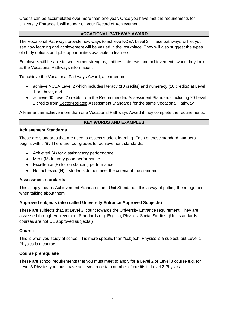Credits can be accumulated over more than one year. Once you have met the requirements for University Entrance it will appear on your Record of Achievement.

#### **VOCATIONAL PATHWAY AWARD**

The Vocational Pathways provide new ways to achieve NCEA Level 2. These pathways will let you see how learning and achievement will be valued in the workplace. They will also suggest the types of study options and jobs opportunities available to learners.

Employers will be able to see learner strengths, abilities, interests and achievements when they look at the Vocational Pathways information.

To achieve the Vocational Pathways Award, a learner must:

- achieve NCEA Level 2 which includes literacy (10 credits) and numeracy (10 credits) at Level 1 or above, and
- achieve 60 Level 2 credits from the Recommended Assessment Standards including 20 Level 2 credits from Sector-Related Assessment Standards for the same Vocational Pathway

A learner can achieve more than one Vocational Pathways Award if they complete the requirements.

#### **KEY WORDS AND EXAMPLES**

#### **Achievement Standards**

These are standards that are used to assess student learning. Each of these standard numbers begins with a '9'. There are four grades for achievement standards:

- Achieved (A) for a satisfactory performance
- Merit (M) for very good performance
- Excellence (E) for outstanding performance
- Not achieved (N) if students do not meet the criteria of the standard

#### **Assessment standards**

This simply means Achievement Standards and Unit Standards. It is a way of putting them together when talking about them.

#### **Approved subjects (also called University Entrance Approved Subjects)**

These are subjects that, at Level 3, count towards the University Entrance requirement. They are assessed through Achievement Standards e.g. English, Physics, Social Studies. (Unit standards courses are not UE approved subjects.)

#### **Course**

This is what you study at school. It is more specific than "subject". Physics is a subject, but Level 1 Physics is a course.

#### **Course prerequisite**

These are school requirements that you must meet to apply for a Level 2 or Level 3 course e.g. for Level 3 Physics you must have achieved a certain number of credits in Level 2 Physics.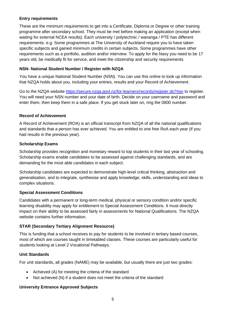#### **Entry requirements**

These are the minimum requirements to get into a Certificate, Diploma or Degree or other training programme after secondary school. They must be met before making an application (except when waiting for external NCEA results). Each university / polytechnic / wananga / PTE has different requirements. e.g. Some programmes at The University of Auckland require you to have taken specific subjects and gained minimum credits in certain subjects. Some programmes have other requirements such as a portfolio, audition and/or interview. To apply for the Navy you need to be 17 years old, be medically fit for service, and meet the citizenship and security requirements.

#### **NSN- National Student Number / Register with NZQA**

You have a unique National Student Number (NSN). You can use this online to look up information that NZQA holds about you, including your entries, results and your Record of Achievement.

Go to the NZQA website<https://secure.nzqa.govt.nz/for-learners/records/register.do?nsn> to register. You will need your NSN number and your date of birth. Decide on your username and password and enter them, then keep them in a safe place. If you get stuck later on, ring the 0800 number.

#### **Record of Achievement**

A Record of Achievement (ROA) is an official transcript from NZQA of all the national qualifications and standards that a person has ever achieved. You are entitled to one free RoA each year (if you had results in the previous year).

#### **Scholarship Exams**

Scholarship provides recognition and monetary reward to top students in their last year of schooling. Scholarship exams enable candidates to be assessed against challenging standards, and are demanding for the most able candidates in each subject.

Scholarship candidates are expected to demonstrate high-level critical thinking, abstraction and generalisation, and to integrate, synthesise and apply knowledge, skills, understanding and ideas to complex situations.

#### **Special Assessment Conditions**

Candidates with a permanent or long-term medical, physical or sensory condition and/or specific learning disability may apply for entitlement to Special Assessment Conditions. It must directly impact on their ability to be assessed fairly in assessments for National Qualifications. The NZQA website contains further information.

#### **STAR (Secondary Tertiary Alignment Resource)**

This is funding that a school receives to pay for students to be involved in tertiary based courses, most of which are courses taught in timetabled classes. These courses are particularly useful for students looking at Level 2 Vocational Pathways.

#### **Unit Standards**

For unit standards, all grades (NAME) may be available, but usually there are just two grades:

- Achieved (A) for meeting the criteria of the standard
- Not achieved (N) if a student does not meet the criteria of the standard

#### **University Entrance Approved Subjects**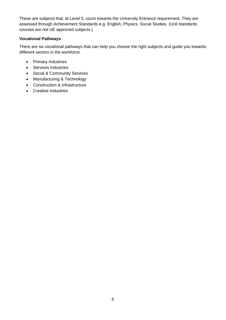These are subjects that, at Level 3, count towards the University Entrance requirement. They are assessed through Achievement Standards e.g. English, Physics, Social Studies. (Unit standards courses are not UE approved subjects.)

#### **Vocational Pathways**

There are six vocational pathways that can help you choose the right subjects and guide you towards different sectors in the workforce.

- Primary Industries
- Services Industries
- Social & Community Services
- Manufacturing & Technology
- Construction & Infrastructure
- Creative Industries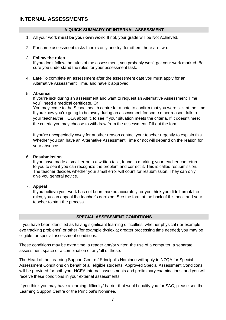# **INTERNAL ASSESSMENTS**

#### **A QUICK SUMMARY OF INTERNAL ASSESSMENT**

- 1. All your work **must be your own work**. If not, your grade will be Not Achieved.
- 2. For some assessment tasks there's only one try, for others there are two.

#### 3. **Follow the rules**

If you don't follow the rules of the assessment, you probably won't get your work marked. Be sure you understand the rules for your assessment task.

4. **Late** To complete an assessment after the assessment date you must apply for an Alternative Assessment Time, and have it approved.

#### 5. **Absence**

If you're sick during an assessment and want to request an Alternative Assessment Time you'll need a medical certificate. Or

You may come to the School health centre for a note to confirm that you were sick at the time. If you know you're going to be away during an assessment for some other reason, talk to your teacher/the HOLA about it, to see if your situation meets the criteria. If it doesn't meet the criteria you may choose to withdraw from the assessment. Fill out the form.

If you're unexpectedly away for another reason contact your teacher urgently to explain this. Whether you can have an Alternative Assessment Time or not will depend on the reason for your absence.

#### 6. **Resubmission**

If you have made a small error in a written task, found in marking; your teacher can return it to you to see if you can recognize the problem and correct it. This is called resubmission. The teacher decides whether your small error will count for resubmission. They can only give you general advice.

#### 7. **Appeal**

If you believe your work has not been marked accurately, or you think you didn't break the rules, you can appeal the teacher's decision. See the form at the back of this book and your teacher to start the process.

#### **SPECIAL ASSESSMENT CONDITIONS**

If you have been identified as having significant learning difficulties, whether physical (for example eye tracking problems) or other (for example dyslexia; greater processing time needed) you may be eligible for special assessment conditions.

These conditions may be extra time, a reader and/or writer, the use of a computer, a separate assessment space or a combination of any/all of these.

The Head of the Learning Support Centre / Principal's Nominee will apply to NZQA for Special Assessment Conditions on behalf of all eligible students. Approved Special Assessment Conditions will be provided for both your NCEA internal assessments and preliminary examinations; and you will receive these conditions in your external assessments.

If you think you may have a learning difficulty/ barrier that would qualify you for SAC, please see the Learning Support Centre or the Principal's Nominee.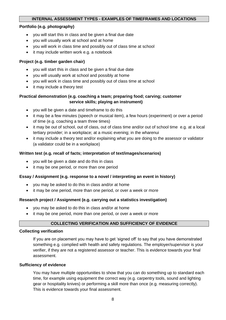#### **INTERNAL ASSESSMENT TYPES - EXAMPLES OF TIMEFRAMES AND LOCATIONS**

#### **Portfolio (e.g. photography)**

- you will start this in class and be given a final due date
- you will usually work at school and at home
- you will work in class time and possibly out of class time at school
- it may include written work e.g. a notebook

#### **Project (e.g. timber garden chair)**

- you will start this in class and be given a final due date
- you will usually work at school and possibly at home
- you will work in class time and possibly out of class time at school
- it may include a theory test

#### **Practical demonstration (e.g. coaching a team; preparing food; carving; customer service skills; playing an instrument)**

- you will be given a date and timeframe to do this
- it may be a few minutes (speech or musical item), a few hours (experiment) or over a period of time (e.g. coaching a team three times)
- it may be out of school, out of class, out of class time and/or out of school time e.g. at a local tertiary provider; in a workplace; at a music evening; in the wharenui
- it may include a theory test and/or explaining what you are doing to the assessor or validator (a validator could be in a workplace)

#### **Written test (e.g. recall of facts; interpretation of text/images/scenarios)**

- you will be given a date and do this in class
- it may be one period, or more than one period

#### **Essay / Assignment (e.g. response to a novel / interpreting an event in history)**

- you may be asked to do this in class and/or at home
- it may be one period, more than one period, or over a week or more

#### **Research project / Assignment (e.g. carrying out a statistics investigation)**

- you may be asked to do this in class and/or at home
- it may be one period, more than one period, or over a week or more

#### **COLLECTING VERIFICATION AND SUFFICIENCY OF EVIDENCE**

#### **Collecting verification**

If you are on placement you may have to get 'signed off' to say that you have demonstrated something e.g. complied with health and safety regulations. The employer/supervisor is your verifier, if they are not a registered assessor or teacher. This is evidence towards your final assessment.

#### **Sufficiency of evidence**

You may have multiple opportunities to show that you can do something up to standard each time, for example using equipment the correct way (e.g. carpentry tools, sound and lighting gear or hospitality knives) or performing a skill more than once (e.g. measuring correctly). This is evidence towards your final assessment.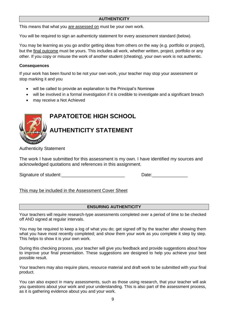#### **AUTHENTICITY**

This means that what you are assessed on must be your own work.

You will be required to sign an authenticity statement for every assessment standard (below).

You may be learning as you go and/or getting ideas from others on the way (e.g. portfolio or project), but the final outcome must be yours. This includes all work, whether written, project, portfolio or any other. If you copy or misuse the work of another student (cheating), your own work is not authentic.

#### **Consequences**

If your work has been found to be not your own work, your teacher may stop your assessment or stop marking it and you

- will be called to provide an explanation to the Principal's Nominee
- will be involved in a formal investigation if it is credible to investigate and a significant breach
- may receive a Not Achieved

# **PAPATOETOE HIGH SCHOOL AUTHENTICITY STATEMENT**

Authenticity Statement

The work I have submitted for this assessment is my own. I have identified my sources and acknowledged quotations and references in this assignment.

Signature of student:

#### This may be included in the Assessment Cover Sheet

#### **ENSURING AUTHENTICITY**

Your teachers will require research-type assessments completed over a period of time to be checked off AND signed at regular intervals.

You may be required to keep a log of what you do; get signed off by the teacher after showing them what you have most recently completed; and show them your work as you complete it step by step. This helps to show it is your own work.

During this checking process, your teacher will give you feedback and provide suggestions about how to improve your final presentation. These suggestions are designed to help you achieve your best possible result.

Your teachers may also require plans, resource material and draft work to be submitted with your final product.

You can also expect in many assessments, such as those using research, that your teacher will ask you questions about your work and your understanding. This is also part of the assessment process, as it is gathering evidence about you and your work.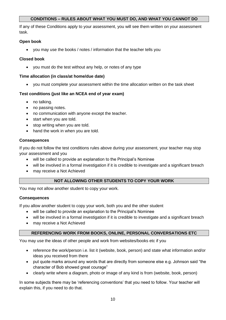#### **CONDITIONS – RULES ABOUT WHAT YOU MUST DO, AND WHAT YOU CANNOT DO**

If any of these Conditions apply to your assessment, you will see them written on your assessment task.

#### **Open book**

• you may use the books / notes / information that the teacher tells you

#### **Closed book**

• you must do the test without any help, or notes of any type

#### **Time allocation (in class/at home/due date)**

• you must complete your assessment within the time allocation written on the task sheet

#### **Test conditions (just like an NCEA end of year exam)**

- no talking.
- no passing notes.
- no communication with anyone except the teacher.
- start when you are told.
- stop writing when you are told.
- hand the work in when you are told.

#### **Consequences**

If you do not follow the test conditions rules above during your assessment, your teacher may stop your assessment and you

- will be called to provide an explanation to the Principal's Nominee
- will be involved in a formal investigation if it is credible to investigate and a significant breach
- may receive a Not Achieved

#### **NOT ALLOWING OTHER STUDENTS TO COPY YOUR WORK**

You may not allow another student to copy your work.

#### **Consequences**

If you allow another student to copy your work, both you and the other student

- will be called to provide an explanation to the Principal's Nominee
- will be involved in a formal investigation if it is credible to investigate and a significant breach
- may receive a Not Achieved

#### **REFERENCING WORK FROM BOOKS, ONLINE, PERSONAL CONVERSATIONS ETC**

You may use the ideas of other people and work from websites/books etc if you

- reference the work/person i.e. list it (website, book, person) and state what information and/or ideas you received from there
- put quote marks around any words that are directly from someone else e.g. Johnson said "the character of Bob showed great courage"
- clearly write where a diagram, photo or image of any kind is from (website, book, person)

In some subjects there may be 'referencing conventions' that you need to follow. Your teacher will explain this, if you need to do that.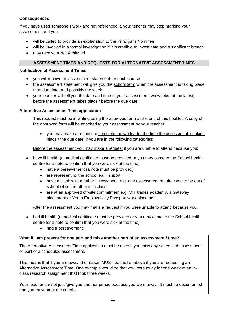#### **Consequences**

If you have used someone's work and not referenced it, your teacher may stop marking your assessment and you

- will be called to provide an explanation to the Principal's Nominee
- will be involved in a formal investigation if it is credible to investigate and a significant breach
- may receive a Not Achieved

#### **ASSESSMENT TIMES AND REQUESTS FOR ALTERNATIVE ASSESSMENT TIMES**

#### **Notification of Assessment Times**

- you will receive an assessment statement for each course.
- the assessment statement will give you the school term when the assessment is taking place / the due date, and possibly the week.
- your teacher will tell you the date and time of your assessment two weeks (at the latest) before the assessment takes place / before the due date.

#### **Alternative Assessment Time application**

This request must be in writing using the approved form at the end of this booklet. A copy of the approved form will be attached to your assessment by your teacher.

• you may make a request to complete the work after the time the assessment is taking place / the due date, if you are in the following categories:

#### Before the assessment you may make a request if you are unable to attend because you:

- have ill health (a medical certificate must be provided or you may come to the School health centre for a note to confirm that you were sick at the time)
	- have a bereavement (a note must be provided)
	- are representing the school e.g. in sport
	- have a clash with another assessment e.g. one assessment requires you to be out of school while the other is in class
	- are at an approved off-site commitment e.g. MIT trades academy, a Gateway placement or Youth Employability Passport work placement

After the assessment you may make a request if you were unable to attend because you:

- had ill health (a medical certificate must be provided or you may come to the School health centre for a note to confirm that you were sick at the time)
	- had a bereavement

#### **What if I am present for one part and miss another part of an assessment / time?**

The Alternative Assessment Time application must be used if you miss any scheduled assessment, or **part** of a scheduled assessment.

This means that if you are away, the reason MUST be the list above if you are requesting an Alternative Assessment Time. One example would be that you were away for one week of an inclass research assignment that took three weeks.

Your teacher cannot just 'give you another period because you were away'. It must be documented and you must meet the criteria.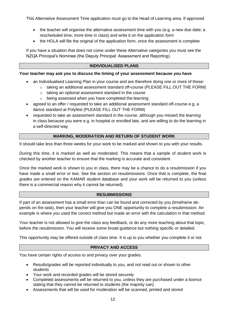This Alternative Assessment Time application must go to the Head of Learning area. If approved

- the teacher will organise the alternative assessment time with you (e.g. a new due date; a rescheduled time; more time in class) and write it on the application form
- the HOLA will file the original of the application form, once the assessment is complete

If you have a situation that does not come under these Alternative categories you must see the NZQA Principal's Nominee (the Deputy Principal: Assessment and Reporting).

#### **INDIVIDUALISED PLANS**

#### **Your teacher may ask you to discuss the timing of your assessment because you have**

- an Individualised Learning Plan in your course and are therefore doing one or more of these:
	- $\circ$  taking an additional assessment standard off-course (PLEASE FILL OUT THE FORM)
	- o taking an optional assessment standard in the course
	- o being assessed when you have completed the learning
- agreed to an offer / requested to take an additional assessment standard off-course e.g. a dance standard at Polyfest (PLEASE FILL OUT THE FORM)
- requested to take an assessment standard in the course, although you missed the *learning* in class because you were e.g. in hospital or enrolled late, and are willing to do the learning in a self-directed way

#### **MARKING, MODERATION AND RETURN OF STUDENT WORK**

It should take less than three weeks for your work to be marked and shown to you with your results.

During this time, it is marked as well as moderated. This means that a sample of student work is checked by another teacher to ensure that the marking is accurate and consistent.

Once the marked work is shown to you in class, there may be a chance to do a resubmission if you have made a small error or two. See the section on resubmissions. Once that is complete, the final grades are entered on the KAMAR student database and your work will be returned to you (unless there is a commercial reason why it cannot be returned).

#### **RESUBMISSIONS**

If part of an assessment has a small error than can be found and corrected by you (timeframe depends on the task), then your teacher will give you ONE opportunity to complete a resubmission. An example is where you used the correct method but made an error with the calculation in that method.

Your teacher is not allowed to give the class any feedback, or do any more teaching about that topic, before the resubmission. You will receive some broad guidance but nothing specific or detailed.

This opportunity may be offered outside of class time. It is up to you whether you complete it or not.

#### **PRIVACY AND ACCESS**

You have certain rights of access to and privacy over your grades.

- Results/grades will be reported individually to you, and not read out or shown to other students
- Your work and recorded grades will be stored securely
- Completed assessments will be returned to you, unless they are purchased under a licence stating that they cannot be returned to students (the majority can)
- Assessments that will be used for moderation will be scanned, printed and stored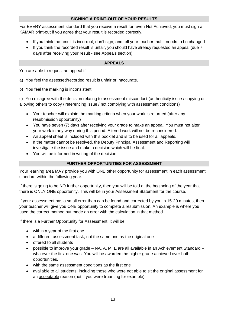#### **SIGNING A PRINT-OUT OF YOUR RESULTS**

For EVERY assessment standard that you receive a result for, even Not Achieved, you must sign a KAMAR print-out if you agree that your result is recorded correctly.

- If you think the result is incorrect, don't sign, and tell your teacher that it needs to be changed.
- If you think the recorded result is unfair, you should have already requested an appeal (due 7 days after receiving your result - see Appeals section).

#### **APPEALS**

You are able to request an appeal if:

a) You feel the assessed/recorded result is unfair or inaccurate.

b) You feel the marking is inconsistent.

c) You disagree with the decision relating to assessment misconduct (authenticity issue / copying or allowing others to copy / referencing issue / not complying with assessment conditions)

- Your teacher will explain the marking criteria when your work is returned (after any resubmission opportunity)
- You have seven (7) days after receiving your grade to make an appeal. You must not alter your work in any way during this period. Altered work will not be reconsidered.
- An appeal sheet is included with this booklet and is to be used for all appeals.
- If the matter cannot be resolved, the Deputy Principal Assessment and Reporting will investigate the issue and make a decision which will be final.
- You will be informed in writing of the decision.

#### **FURTHER OPPORTUNITIES FOR ASSESSMENT**

Your learning area MAY provide you with ONE other opportunity for assessment in each assessment standard within the following year.

If there is going to be NO further opportunity, then you will be told at the beginning of the year that there is ONLY ONE opportunity. This will be in your Assessment Statement for the course.

If your assessment has a small error than can be found and corrected by you in 15-20 minutes, then your teacher will give you ONE opportunity to complete a resubmission. An example is where you used the correct method but made an error with the calculation in that method.

If there is a Further Opportunity for Assessment, it will be

- within a year of the first one
- a different assessment task, not the same one as the original one
- offered to all students
- possible to improve your grade NA, A, M, E are all available in an Achievement Standard whatever the first one was. You will be awarded the higher grade achieved over both opportunities.
- with the same assessment conditions as the first one
- available to all students, including those who were not able to sit the original assessment for an acceptable reason (not if you were truanting for example)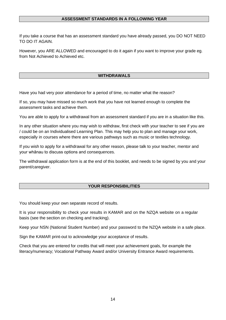#### **ASSESSMENT STANDARDS IN A FOLLOWING YEAR**

If you take a course that has an assessment standard you have already passed, you DO NOT NEED TO DO IT AGAIN.

However, you ARE ALLOWED and encouraged to do it again if you want to improve your grade eg. from Not Achieved to Achieved etc.

#### **WITHDRAWALS**

Have you had very poor attendance for a period of time, no matter what the reason?

If so, you may have missed so much work that you have not learned enough to complete the assessment tasks and achieve them.

You are able to apply for a withdrawal from an assessment standard if you are in a situation like this.

In any other situation where you may wish to withdraw, first check with your teacher to see if you are / could be on an Individualised Learning Plan. This may help you to plan and manage your work, especially in courses where there are various pathways such as music or textiles technology.

If you wish to apply for a withdrawal for any other reason, please talk to your teacher, mentor and your whānau to discuss options and consequences.

The withdrawal application form is at the end of this booklet, and needs to be signed by you and your parent/caregiver.

#### **YOUR RESPONSIBILITIES**

You should keep your own separate record of results.

It is your responsibility to check your results in KAMAR and on the NZQA website on a regular basis (see the section on checking and tracking).

Keep your NSN (National Student Number) and your password to the NZQA website in a safe place.

Sign the KAMAR print-out to acknowledge your acceptance of results.

Check that you are entered for credits that will meet your achievement goals, for example the literacy/numeracy; Vocational Pathway Award and/or University Entrance Award requirements.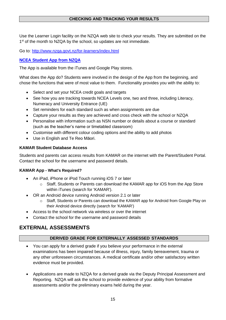#### **CHECKING AND TRACKING YOUR RESULTS**

Use the Learner Login facility on the NZQA web site to check your results. They are submitted on the 1<sup>st</sup> of the month to NZQA by the school, so updates are not immediate.

Go to:<http://www.nzqa.govt.nz/for-learners/index.html>

#### **NCEA Student App from NZQA**

The App is available from the iTunes and Google Play stores.

What does the App do? Students were involved in the design of the App from the beginning, and chose the functions that were of most value to them. Functionality provides you with the ability to:

- Select and set your NCEA credit goals and targets
- See how you are tracking towards NCEA Levels one, two and three, including Literacy, Numeracy and University Entrance (UE)
- Set reminders for each standard such as when assignments are due
- Capture your results as they are achieved and cross check with the school or NZQA
- Personalise with information such as NSN number or details about a course or standard (such as the teacher's name or timetabled classroom)
- Customise with different colour coding options and the ability to add photos
- Use in English and Te Reo Māori.

#### **KAMAR Student Database Access**

Students and parents can access results from KAMAR on the internet with the Parent/Student Portal. Contact the school for the username and password details.

#### **KAMAR App - What's Required?**

- An iPad, iPhone or iPod Touch running iOS 7 or later
	- o Staff, Students or Parents can download the KAMAR app for iOS from the App Store within iTunes (search for 'KAMAR').
- OR an Android device running Android version 2.1 or later
	- o Staff, Students or Parents can download the KAMAR app for Android from Google Play on their Android device directly (search for 'KAMAR')
- Access to the school network via wireless or over the internet
- Contact the school for the username and password details

# **EXTERNAL ASSESSMENTS**

#### **DERIVED GRADE FOR EXTERNALLY ASSESSED STANDARDS**

- You can apply for a derived grade if you believe your performance in the external examinations has been impaired because of illness, injury, family bereavement, trauma or any other unforeseen circumstances. A medical certificate and/or other satisfactory written evidence must be provided.
- Applications are made to NZQA for a derived grade via the Deputy Principal Assessment and Reporting. NZQA will ask the school to provide evidence of your ability from formative assessments and/or the preliminary exams held during the year.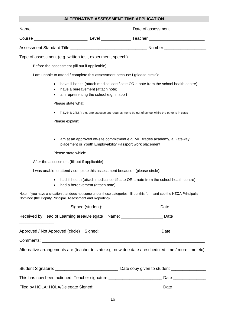#### **ALTERNATIVE ASSESSMENT TIME APPLICATION**

| Before the assessment (fill out if applicable)                               |                                                                              |                                                                                                                                                                                      |
|------------------------------------------------------------------------------|------------------------------------------------------------------------------|--------------------------------------------------------------------------------------------------------------------------------------------------------------------------------------|
| I am unable to attend / complete this assessment because I (please circle):  |                                                                              |                                                                                                                                                                                      |
| $\bullet$<br>$\bullet$                                                       | have a bereavement (attach note)<br>am representing the school e.g. in sport | have ill health (attach medical certificate OR a note from the school health centre)<br>have a clash e.g. one assessment requires me to be out of school while the other is in class |
|                                                                              |                                                                              | am at an approved off-site commitment e.g. MIT trades academy, a Gateway<br>placement or Youth Employability Passport work placement                                                 |
| After the assessment (fill out if applicable)                                |                                                                              |                                                                                                                                                                                      |
| I was unable to attend / complete this assessment because I (please circle): |                                                                              |                                                                                                                                                                                      |
| $\bullet$                                                                    | had a bereavement (attach note)                                              | had ill health (attach medical certificate OR a note from the school health centre)                                                                                                  |
| Nominee (the Deputy Principal: Assessment and Reporting).                    |                                                                              | Note: If you have a situation that does not come under these categories, fill out this form and see the NZQA Principal's                                                             |
|                                                                              |                                                                              |                                                                                                                                                                                      |
| Received by Head of Learning area/Delegate Name: _____________________ Date  |                                                                              |                                                                                                                                                                                      |
|                                                                              |                                                                              | Approved / Not Approved (circle) Signed: __________________________________Date ____________________                                                                                 |
|                                                                              |                                                                              |                                                                                                                                                                                      |
|                                                                              |                                                                              | Alternative arrangements are (teacher to state e.g. new due date / rescheduled time / more time etc)                                                                                 |
|                                                                              |                                                                              |                                                                                                                                                                                      |
|                                                                              |                                                                              | This has now been actioned. Teacher signature:___________________________Date _____________________                                                                                  |
|                                                                              |                                                                              |                                                                                                                                                                                      |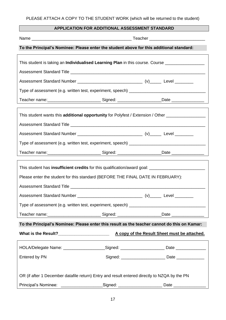| APPLICATION FOR ADDITIONAL ASSESSMENT STANDARD |  |
|------------------------------------------------|--|
|------------------------------------------------|--|

| To the Principal's Nominee: Please enter the student above for this additional standard:                  |                                                         |  |      |  |
|-----------------------------------------------------------------------------------------------------------|---------------------------------------------------------|--|------|--|
| This student is taking an <b>Individualised Learning Plan</b> in this course. Course ____________________ |                                                         |  |      |  |
|                                                                                                           |                                                         |  |      |  |
|                                                                                                           |                                                         |  |      |  |
|                                                                                                           |                                                         |  |      |  |
|                                                                                                           |                                                         |  |      |  |
| Teacher name:____________________________Signed: _______________________Date _______________________      |                                                         |  |      |  |
| This student wants this additional opportunity for Polyfest / Extension / Other ____________________      |                                                         |  |      |  |
|                                                                                                           |                                                         |  |      |  |
|                                                                                                           |                                                         |  |      |  |
|                                                                                                           |                                                         |  |      |  |
| Teacher name:_______________________________Signed: _______________________Date ___________________       |                                                         |  |      |  |
|                                                                                                           |                                                         |  |      |  |
|                                                                                                           |                                                         |  |      |  |
| Please enter the student for this standard (BEFORE THE FINAL DATE IN FEBRUARY):                           |                                                         |  |      |  |
|                                                                                                           |                                                         |  |      |  |
|                                                                                                           |                                                         |  |      |  |
|                                                                                                           |                                                         |  |      |  |
| Teacher name:_______________________________Signed: _______________________Date ___________________       |                                                         |  |      |  |
|                                                                                                           |                                                         |  |      |  |
| To the Principal's Nominee: Please enter this result as the teacher cannot do this on Kamar:              |                                                         |  |      |  |
|                                                                                                           |                                                         |  |      |  |
| HOLA/Delegate Name: _____________________Signed: _________________________Date ____________________       |                                                         |  |      |  |
| Entered by PN                                                                                             |                                                         |  |      |  |
|                                                                                                           |                                                         |  |      |  |
| OR (if after 1 December datafile return) Entry and result entered directly to NZQA by the PN              |                                                         |  |      |  |
| Principal's Nominee:                                                                                      | _______________________Signed: ________________________ |  | Date |  |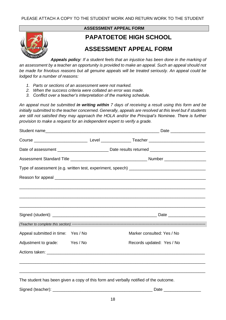

#### **ASSESSMENT APPEAL FORM**

# **PAPATOETOE HIGH SCHOOL**

# **ASSESSMENT APPEAL FORM**

*Appeals policy: If a student feels that an injustice has been done in the marking of an assessment by a teacher an opportunity is provided to make an appeal. Such an appeal should not be made for frivolous reasons but all genuine appeals will be treated seriously. An appeal could be lodged for a number of reasons:*

- *1. Parts or sections of an assessment were not marked.*
- *2. When the success criteria were collated an error was made.*
- *3. Conflict over a teacher's interpretation of the marking schedule.*

*An appeal must be submitted in writing within 7 days of receiving a result using this form and be initially submitted to the teacher concerned. Generally, appeals are resolved at this level but if students are still not satisfied they may approach the HOLA and/or the Principal's Nominee. There is further provision to make a request for an independent expert to verify a grade.*

|                                    |  | ,我们也不能会有什么。""我们的,我们也不能会不能会不能会不能会不能会不能会不能会不能会不能会。""我们的,我们也不能会不能会不能会不能会不能会不能会不能会不能     |  |  |
|------------------------------------|--|--------------------------------------------------------------------------------------|--|--|
|                                    |  |                                                                                      |  |  |
| Appeal submitted in time: Yes / No |  | Marker consulted: Yes / No                                                           |  |  |
| Adjustment to grade: Yes / No      |  | Records updated: Yes / No                                                            |  |  |
|                                    |  |                                                                                      |  |  |
|                                    |  |                                                                                      |  |  |
|                                    |  | The student has been given a copy of this form and verbally notified of the outcome. |  |  |
|                                    |  |                                                                                      |  |  |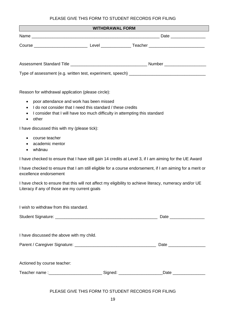### PLEASE GIVE THIS FORM TO STUDENT RECORDS FOR FILING

| WITHDRAWAL FORM                                                          |  |                                                                                                           |  |  |  |  |
|--------------------------------------------------------------------------|--|-----------------------------------------------------------------------------------------------------------|--|--|--|--|
|                                                                          |  |                                                                                                           |  |  |  |  |
|                                                                          |  |                                                                                                           |  |  |  |  |
|                                                                          |  |                                                                                                           |  |  |  |  |
|                                                                          |  |                                                                                                           |  |  |  |  |
|                                                                          |  |                                                                                                           |  |  |  |  |
| Reason for withdrawal application (please circle):                       |  |                                                                                                           |  |  |  |  |
| poor attendance and work has been missed<br>$\bullet$                    |  |                                                                                                           |  |  |  |  |
| I do not consider that I need this standard / these credits<br>$\bullet$ |  |                                                                                                           |  |  |  |  |
| $\bullet$<br>other<br>$\bullet$                                          |  | I consider that I will have too much difficulty in attempting this standard                               |  |  |  |  |
| I have discussed this with my (please tick):                             |  |                                                                                                           |  |  |  |  |
| course teacher<br>$\bullet$                                              |  |                                                                                                           |  |  |  |  |
| academic mentor                                                          |  |                                                                                                           |  |  |  |  |
| whānau<br>$\bullet$                                                      |  |                                                                                                           |  |  |  |  |
|                                                                          |  | I have checked to ensure that I have still gain 14 credits at Level 3, if I am aiming for the UE Award    |  |  |  |  |
| excellence endorsement                                                   |  | I have checked to ensure that I am still eligible for a course endorsement, if I am aiming for a merit or |  |  |  |  |
| Literacy if any of those are my current goals                            |  | I have check to ensure that this will not affect my eligibility to achieve literacy, numeracy and/or UE   |  |  |  |  |
| I wish to withdraw from this standard.                                   |  |                                                                                                           |  |  |  |  |
|                                                                          |  |                                                                                                           |  |  |  |  |
| I have discussed the above with my child.                                |  |                                                                                                           |  |  |  |  |
|                                                                          |  |                                                                                                           |  |  |  |  |
|                                                                          |  |                                                                                                           |  |  |  |  |

Teacher name :\_\_\_\_\_\_\_\_\_\_\_\_\_\_\_\_\_\_\_\_\_\_\_\_\_\_\_\_\_\_\_Signed: \_\_\_\_\_\_\_\_\_\_\_\_\_\_\_\_\_\_\_\_\_\_\_\_\_\_Date \_\_\_\_\_\_\_\_\_\_\_\_\_\_\_\_\_\_\_\_\_\_\_\_\_\_

Actioned by course teacher:

### PLEASE GIVE THIS FORM TO STUDENT RECORDS FOR FILING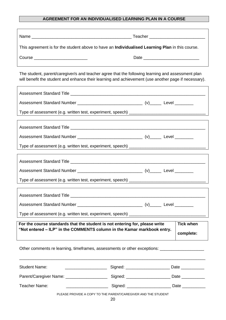#### **AGREEMENT FOR AN INDIVIDUALISED LEARNING PLAN IN A COURSE**

| This agreement is for the student above to have an Individualised Learning Plan in this course.                                                                                                           |                                                                                        |                                                               |                  |  |  |
|-----------------------------------------------------------------------------------------------------------------------------------------------------------------------------------------------------------|----------------------------------------------------------------------------------------|---------------------------------------------------------------|------------------|--|--|
| Course __________________________                                                                                                                                                                         |                                                                                        |                                                               |                  |  |  |
|                                                                                                                                                                                                           |                                                                                        |                                                               |                  |  |  |
| The student, parent/caregiver/s and teacher agree that the following learning and assessment plan<br>will benefit the student and enhance their learning and achievement (use another page if necessary). |                                                                                        |                                                               |                  |  |  |
|                                                                                                                                                                                                           |                                                                                        |                                                               |                  |  |  |
|                                                                                                                                                                                                           |                                                                                        |                                                               |                  |  |  |
|                                                                                                                                                                                                           |                                                                                        |                                                               |                  |  |  |
|                                                                                                                                                                                                           |                                                                                        |                                                               |                  |  |  |
|                                                                                                                                                                                                           |                                                                                        |                                                               |                  |  |  |
|                                                                                                                                                                                                           |                                                                                        |                                                               |                  |  |  |
|                                                                                                                                                                                                           |                                                                                        |                                                               |                  |  |  |
|                                                                                                                                                                                                           |                                                                                        |                                                               |                  |  |  |
|                                                                                                                                                                                                           |                                                                                        |                                                               |                  |  |  |
|                                                                                                                                                                                                           |                                                                                        |                                                               |                  |  |  |
|                                                                                                                                                                                                           |                                                                                        |                                                               |                  |  |  |
|                                                                                                                                                                                                           |                                                                                        |                                                               |                  |  |  |
|                                                                                                                                                                                                           |                                                                                        |                                                               |                  |  |  |
| For the course standards that the student is not entering for, please write                                                                                                                               |                                                                                        |                                                               | <b>Tick when</b> |  |  |
| "Not entered - ILP" in the COMMENTS column in the Kamar markbook entry.                                                                                                                                   |                                                                                        |                                                               | complete:        |  |  |
| Other comments re learning, timeframes, assessments or other exceptions: __________________________                                                                                                       |                                                                                        |                                                               |                  |  |  |
| <b>Student Name:</b>                                                                                                                                                                                      | _____________________________Signed: ______________________________Date ______________ |                                                               |                  |  |  |
| Parent/Caregiver Name: _________________________________Signed: ___________________________Date _____________                                                                                             |                                                                                        |                                                               |                  |  |  |
| Teacher Name:                                                                                                                                                                                             | __________________________Signed: ____________________________Date _____________       |                                                               |                  |  |  |
|                                                                                                                                                                                                           |                                                                                        | PLEASE PROVIDE A COPY TO THE PARENT/CAREGIVER AND THE STUDENT |                  |  |  |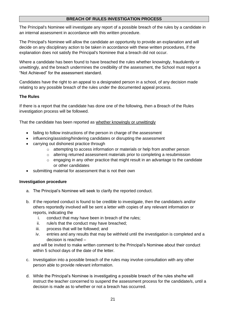#### **BREACH OF RULES INVESTIGATION PROCESS**

The Principal's Nominee will investigate any report of a possible breach of the rules by a candidate in an internal assessment in accordance with this written procedure.

The Principal's Nominee will allow the candidate an opportunity to provide an explanation and will decide on any disciplinary action to be taken in accordance with these written procedures, if the explanation does not satisfy the Principal's Nominee that a breach did not occur.

Where a candidate has been found to have breached the rules whether knowingly, fraudulently or unwittingly, and the breach undermines the credibility of the assessment, the School must report a "Not Achieved" for the assessment standard.

Candidates have the right to an appeal to a designated person in a school, of any decision made relating to any possible breach of the rules under the documented appeal process.

#### **The Rules**

If there is a report that the candidate has done one of the following, then a Breach of the Rules investigation process will be followed.

That the candidate has been reported as whether knowingly or unwittingly

- failing to follow instructions of the person in charge of the assessment
- influencing/assisting/hindering candidates or disrupting the assessment
- carrying out dishonest practice through
	- o attempting to access information or materials or help from another person
	- $\circ$  altering returned assessment materials prior to completing a resubmission
	- $\circ$  engaging in any other practice that might result in an advantage to the candidate or other candidates
- submitting material for assessment that is not their own

#### **Investigation procedure**

- a. The Principal's Nominee will seek to clarify the reported conduct.
- b. If the reported conduct is found to be credible to investigate, then the candidate/s and/or others reportedly involved will be sent a letter with copies of any relevant information or reports, indicating the
	- i. conduct that may have been in breach of the rules;
	- ii. rule/s that the conduct may have breached;
	- iii. process that will be followed; and
	- iv. entries and any results that may be withheld until the investigation is completed and a decision is reached –

and will be invited to make written comment to the Principal's Nominee about their conduct within 5 school days of the date of the letter.

- c. Investigation into a possible breach of the rules may involve consultation with any other person able to provide relevant information.
- d. While the Principal's Nominee is investigating a possible breach of the rules she/he will instruct the teacher concerned to suspend the assessment process for the candidate/s, until a decision is made as to whether or not a breach has occurred.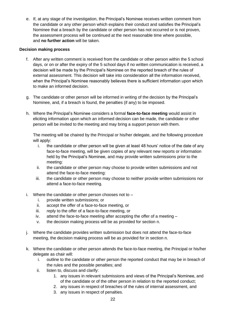e. If, at any stage of the investigation, the Principal's Nominee receives written comment from the candidate or any other person which explains their conduct and satisfies the Principal's Nominee that a breach by the candidate or other person has not occurred or is not proven, the assessment process will be continued at the next reasonable time where possible, and **no further action** will be taken.

#### **Decision making process**

- f. After any written comment is received from the candidate or other person within the 5 school days, or on or after the expiry of the 5 school days if no written communication is received, a decision will be made by the Principal's Nominee on the reported breach of the rules of external assessment. This decision will take into consideration all the information received, when the Principal's Nominee reasonably believes there is sufficient information upon which to make an informed decision.
- g. The candidate or other person will be informed in writing of the decision by the Principal's Nominee, and, if a breach is found, the penalties (if any) to be imposed.
- h. Where the Principal's Nominee considers a formal **face-to-face meeting** would assist in eliciting information upon which an informed decision can be made, the candidate or other person will be invited to the meeting and may bring a support person with them.

The meeting will be chaired by the Principal or his/her delegate, and the following procedure will apply:

- i. the candidate or other person will be given at least 48 hours' notice of the date of any face-to-face meeting, will be given copies of any relevant new reports or information held by the Principal's Nominee, and may provide written submissions prior to the meeting:
- ii. the candidate or other person may choose to provide written submissions and not attend the face-to-face meeting:
- iii. the candidate or other person may choose to neither provide written submissions nor attend a face-to-face meeting.
- i. Where the candidate or other person chooses not to  $$ 
	- i. provide written submissions; or
	- ii. accept the offer of a face-to-face meeting, or
	- iii. reply to the offer of a face-to-face meeting, or
	- iv. attend the face-to-face meeting after accepting the offer of a meeting –
	- v. the decision making process will be as provided for section n.
- j. Where the candidate provides written submission but does not attend the face-to-face meeting, the decision making process will be as provided for in section n.
- k. Where the candidate or other person attends the face-to-face meeting, the Principal or his/her delegate as chair will:
	- i. outline to the candidate or other person the reported conduct that may be in breach of the rules and the possible penalties; and
	- ii. listen to, discuss and clarify:
		- 1. any issues in relevant submissions and views of the Principal's Nominee, and of the candidate or of the other person in relation to the reported conduct;
		- 2. any issues in respect of breaches of the rules of internal assessment, and
		- 3. any issues in respect of penalties.